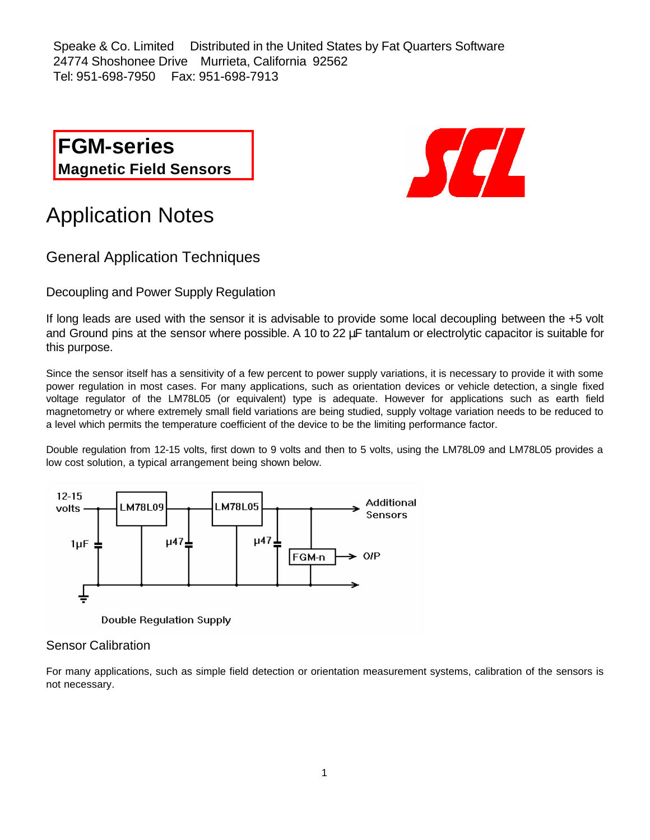Speake & Co. Limited Distributed in the United States by Fat Quarters Software 24774 Shoshonee Drive Murrieta, California 92562 Tel: 951-698-7950 Fax: 951-698-7913

**FGM-series Magnetic Field Sensors**



# Application Notes

General Application Techniques

Decoupling and Power Supply Regulation

If long leads are used with the sensor it is advisable to provide some local decoupling between the +5 volt and Ground pins at the sensor where possible. A 10 to 22 μF tantalum or electrolytic capacitor is suitable for this purpose.

Since the sensor itself has a sensitivity of a few percent to power supply variations, it is necessary to provide it with some power regulation in most cases. For many applications, such as orientation devices or vehicle detection, a single fixed voltage regulator of the LM78L05 (or equivalent) type is adequate. However for applications such as earth field magnetometry or where extremely small field variations are being studied, supply voltage variation needs to be reduced to a level which permits the temperature coefficient of the device to be the limiting performance factor.

Double regulation from 12-15 volts, first down to 9 volts and then to 5 volts, using the LM78L09 and LM78L05 provides a low cost solution, a typical arrangement being shown below.



**Double Regulation Supply** 

## Sensor Calibration

For many applications, such as simple field detection or orientation measurement systems, calibration of the sensors is not necessary.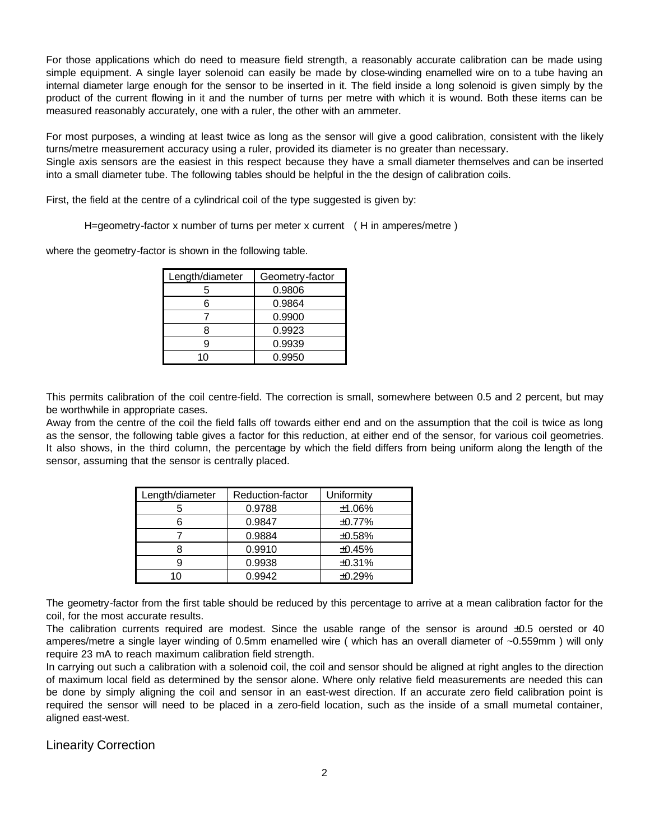For those applications which do need to measure field strength, a reasonably accurate calibration can be made using simple equipment. A single layer solenoid can easily be made by close-winding enamelled wire on to a tube having an internal diameter large enough for the sensor to be inserted in it. The field inside a long solenoid is given simply by the product of the current flowing in it and the number of turns per metre with which it is wound. Both these items can be measured reasonably accurately, one with a ruler, the other with an ammeter.

For most purposes, a winding at least twice as long as the sensor will give a good calibration, consistent with the likely turns/metre measurement accuracy using a ruler, provided its diameter is no greater than necessary.

Single axis sensors are the easiest in this respect because they have a small diameter themselves and can be inserted into a small diameter tube. The following tables should be helpful in the the design of calibration coils.

First, the field at the centre of a cylindrical coil of the type suggested is given by:

H=geometry-factor x number of turns per meter x current ( H in amperes/metre )

where the geometry-factor is shown in the following table.

| Length/diameter | Geometry-factor |
|-----------------|-----------------|
| 5               | 0.9806          |
| ิค              | 0.9864          |
|                 | 0.9900          |
|                 | 0.9923          |
|                 | 0.9939          |
|                 | 0.9950          |

This permits calibration of the coil centre-field. The correction is small, somewhere between 0.5 and 2 percent, but may be worthwhile in appropriate cases.

Away from the centre of the coil the field falls off towards either end and on the assumption that the coil is twice as long as the sensor, the following table gives a factor for this reduction, at either end of the sensor, for various coil geometries. It also shows, in the third column, the percentage by which the field differs from being uniform along the length of the sensor, assuming that the sensor is centrally placed.

| Length/diameter | Reduction-factor | Uniformity |
|-----------------|------------------|------------|
| 5               | 0.9788           | ±1.06%     |
| 6               | 0.9847           | ±0.77%     |
|                 | 0.9884           | ±0.58%     |
|                 | 0.9910           | ±0.45%     |
| 9               | 0.9938           | ±0.31%     |
| າ∩_             | 0.9942           | ±0.29%     |

The geometry-factor from the first table should be reduced by this percentage to arrive at a mean calibration factor for the coil, for the most accurate results.

The calibration currents required are modest. Since the usable range of the sensor is around  $\pm 0.5$  oersted or 40 amperes/metre a single layer winding of 0.5mm enamelled wire ( which has an overall diameter of ~0.559mm ) will only require 23 mA to reach maximum calibration field strength.

In carrying out such a calibration with a solenoid coil, the coil and sensor should be aligned at right angles to the direction of maximum local field as determined by the sensor alone. Where only relative field measurements are needed this can be done by simply aligning the coil and sensor in an east-west direction. If an accurate zero field calibration point is required the sensor will need to be placed in a zero-field location, such as the inside of a small mumetal container, aligned east-west.

Linearity Correction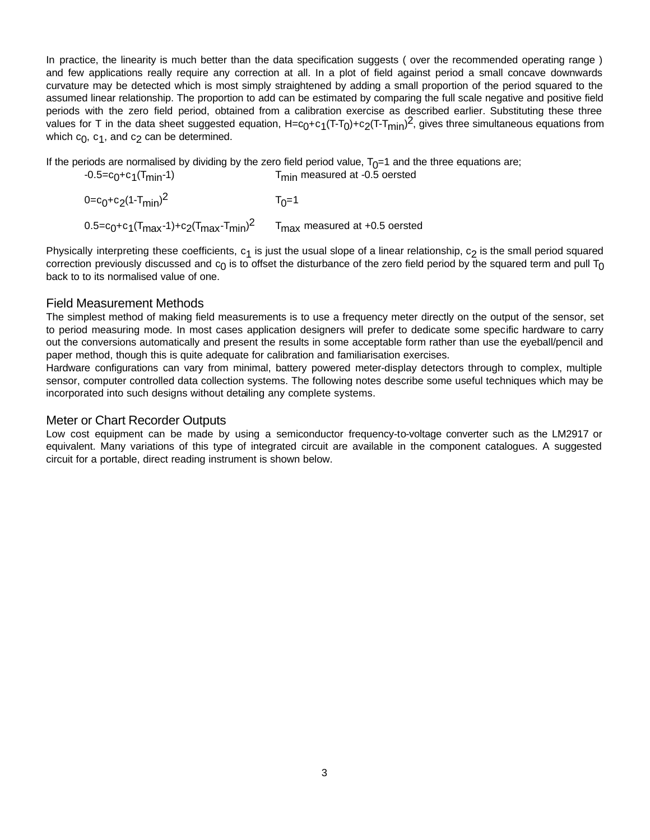In practice, the linearity is much better than the data specification suggests (over the recommended operating range) and few applications really require any correction at all. In a plot of field against period a small concave downwards curvature may be detected which is most simply straightened by adding a small proportion of the period squared to the assumed linear relationship. The proportion to add can be estimated by comparing the full scale negative and positive field periods with the zero field period, obtained from a calibration exercise as described earlier. Substituting these three .<br>values for T in the data sheet suggested equation, H=c<sub>0</sub>+c<sub>1</sub>(T-T<sub>0</sub>)+c<sub>2</sub>(T-T<sub>min</sub>)<sup>2</sup>, gives three simultaneous equations from which  $\mathbf{c}_{\mathbf{0}}$ ,  $\mathbf{c}_{\mathbf{1}}$ , and  $\mathbf{c}_{\mathbf{2}}$  can be determined.

If the periods are normalised by dividing by the zero field period value,  $T_0$ =1 and the three equations are; -0.5=c0 +c1  $T<sub>min</sub>$  measured at -0.5 oersted

0=c<sub>0</sub>+c<sub>2</sub>(1-T<sub>min</sub>) 2 T<sub>0</sub>  $T_0=1$ 0.5=c<sub>0</sub>+c<sub>1</sub>(T<sub>max</sub>-1)+c<sub>2</sub>(T<sub>max</sub>-T<sub>min</sub>)<sup>2</sup> T<sub>max</sub> measured at +0.5 oersted

Physically interpreting these coefficients,  $c_1$  is just the usual slope of a linear relationship,  $c_2$  is the small period squared correction previously discussed and  $\rm c_0$  is to offset the disturbance of the zero field period by the squared term and pull  $\rm T_0$ back to to its normalised value of one.

## Field Measurement Methods

The simplest method of making field measurements is to use a frequency meter directly on the output of the sensor, set to period measuring mode. In most cases application designers will prefer to dedicate some specific hardware to carry out the conversions automatically and present the results in some acceptable form rather than use the eyeball/pencil and paper method, though this is quite adequate for calibration and familiarisation exercises.

Hardware configurations can vary from minimal, battery powered meter-display detectors through to complex, multiple sensor, computer controlled data collection systems. The following notes describe some useful techniques which may be incorporated into such designs without detailing any complete systems.

## Meter or Chart Recorder Outputs

Low cost equipment can be made by using a semiconductor frequency-to-voltage converter such as the LM2917 or equivalent. Many variations of this type of integrated circuit are available in the component catalogues. A suggested circuit for a portable, direct reading instrument is shown below.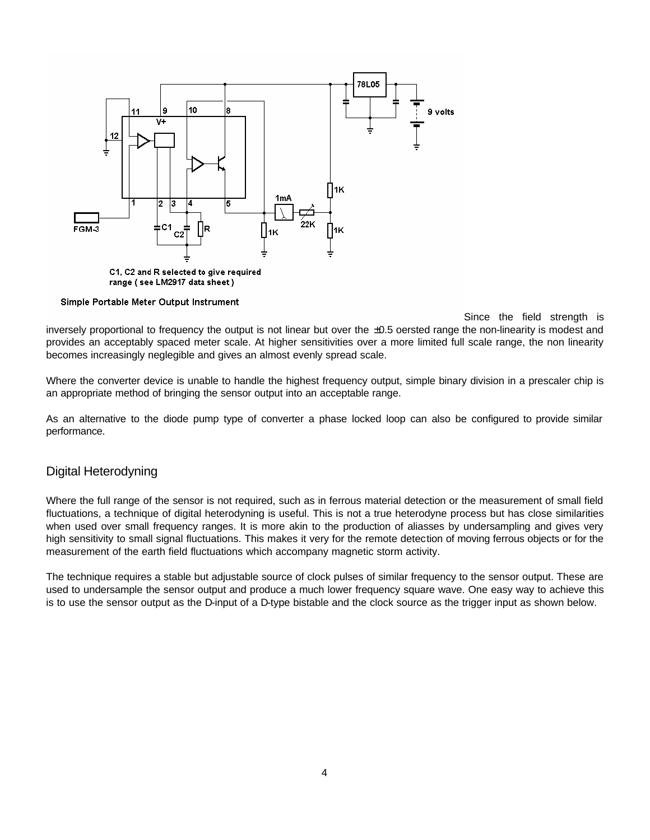

#### Simple Portable Meter Output Instrument

Since the field strength is inversely proportional to frequency the output is not linear but over the ±0.5 oersted range the non-linearity is modest and provides an acceptably spaced meter scale. At higher sensitivities over a more limited full scale range, the non linearity becomes increasingly neglegible and gives an almost evenly spread scale.

Where the converter device is unable to handle the highest frequency output, simple binary division in a prescaler chip is an appropriate method of bringing the sensor output into an acceptable range.

As an alternative to the diode pump type of converter a phase locked loop can also be configured to provide similar performance.

#### Digital Heterodyning

Where the full range of the sensor is not required, such as in ferrous material detection or the measurement of small field fluctuations, a technique of digital heterodyning is useful. This is not a true heterodyne process but has close similarities when used over small frequency ranges. It is more akin to the production of aliasses by undersampling and gives very high sensitivity to small signal fluctuations. This makes it very for the remote detection of moving ferrous objects or for the measurement of the earth field fluctuations which accompany magnetic storm activity.

The technique requires a stable but adjustable source of clock pulses of similar frequency to the sensor output. These are used to undersample the sensor output and produce a much lower frequency square wave. One easy way to achieve this is to use the sensor output as the D-input of a D-type bistable and the clock source as the trigger input as shown below.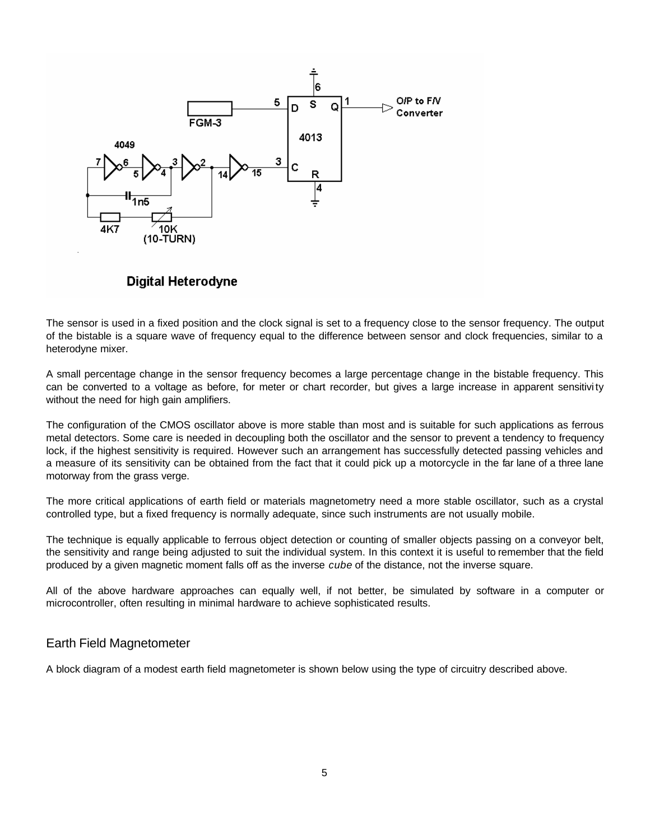

## **Digital Heterodyne**

The sensor is used in a fixed position and the clock signal is set to a frequency close to the sensor frequency. The output of the bistable is a square wave of frequency equal to the difference between sensor and clock frequencies, similar to a heterodyne mixer.

A small percentage change in the sensor frequency becomes a large percentage change in the bistable frequency. This can be converted to a voltage as before, for meter or chart recorder, but gives a large increase in apparent sensitivi ty without the need for high gain amplifiers.

The configuration of the CMOS oscillator above is more stable than most and is suitable for such applications as ferrous metal detectors. Some care is needed in decoupling both the oscillator and the sensor to prevent a tendency to frequency lock, if the highest sensitivity is required. However such an arrangement has successfully detected passing vehicles and a measure of its sensitivity can be obtained from the fact that it could pick up a motorcycle in the far lane of a three lane motorway from the grass verge.

The more critical applications of earth field or materials magnetometry need a more stable oscillator, such as a crystal controlled type, but a fixed frequency is normally adequate, since such instruments are not usually mobile.

The technique is equally applicable to ferrous object detection or counting of smaller objects passing on a conveyor belt, the sensitivity and range being adjusted to suit the individual system. In this context it is useful to remember that the field produced by a given magnetic moment falls off as the inverse *cube* of the distance, not the inverse square.

All of the above hardware approaches can equally well, if not better, be simulated by software in a computer or microcontroller, often resulting in minimal hardware to achieve sophisticated results.

#### Earth Field Magnetometer

A block diagram of a modest earth field magnetometer is shown below using the type of circuitry described above.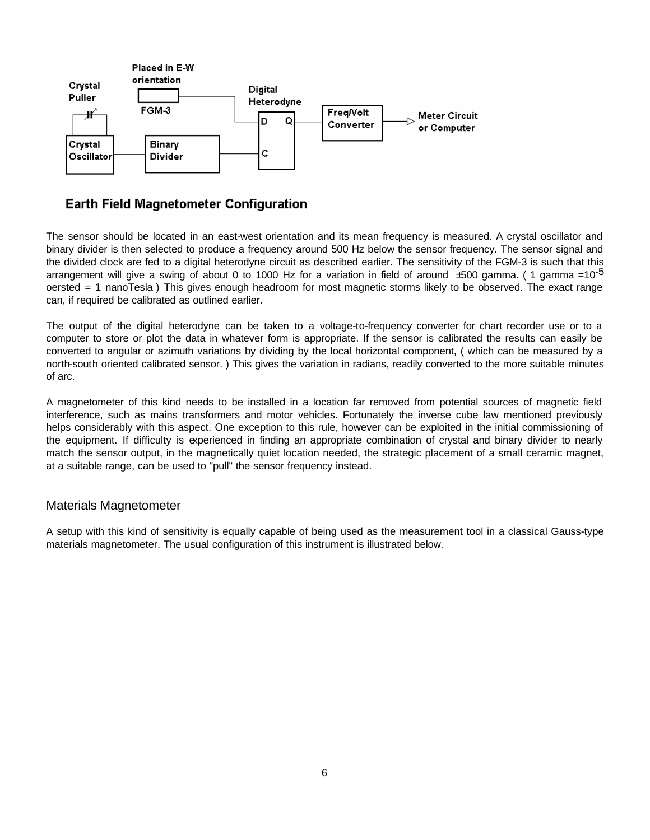

## **Earth Field Magnetometer Configuration**

The sensor should be located in an east-west orientation and its mean frequency is measured. A crystal oscillator and binary divider is then selected to produce a frequency around 500 Hz below the sensor frequency. The sensor signal and the divided clock are fed to a digital heterodyne circuit as described earlier. The sensitivity of the FGM-3 is such that this arrangement will give a swing of about 0 to 1000 Hz for a variation in field of around  $\pm 500$  gamma. (1 gamma =10<sup>-5</sup> oersted = 1 nanoTesla ) This gives enough headroom for most magnetic storms likely to be observed. The exact range can, if required be calibrated as outlined earlier.

The output of the digital heterodyne can be taken to a voltage-to-frequency converter for chart recorder use or to a computer to store or plot the data in whatever form is appropriate. If the sensor is calibrated the results can easily be converted to angular or azimuth variations by dividing by the local horizontal component, ( which can be measured by a north-south oriented calibrated sensor. ) This gives the variation in radians, readily converted to the more suitable minutes of arc.

A magnetometer of this kind needs to be installed in a location far removed from potential sources of magnetic field interference, such as mains transformers and motor vehicles. Fortunately the inverse cube law mentioned previously helps considerably with this aspect. One exception to this rule, however can be exploited in the initial commissioning of the equipment. If difficulty is experienced in finding an appropriate combination of crystal and binary divider to nearly match the sensor output, in the magnetically quiet location needed, the strategic placement of a small ceramic magnet, at a suitable range, can be used to "pull" the sensor frequency instead.

## Materials Magnetometer

A setup with this kind of sensitivity is equally capable of being used as the measurement tool in a classical Gauss-type materials magnetometer. The usual configuration of this instrument is illustrated below.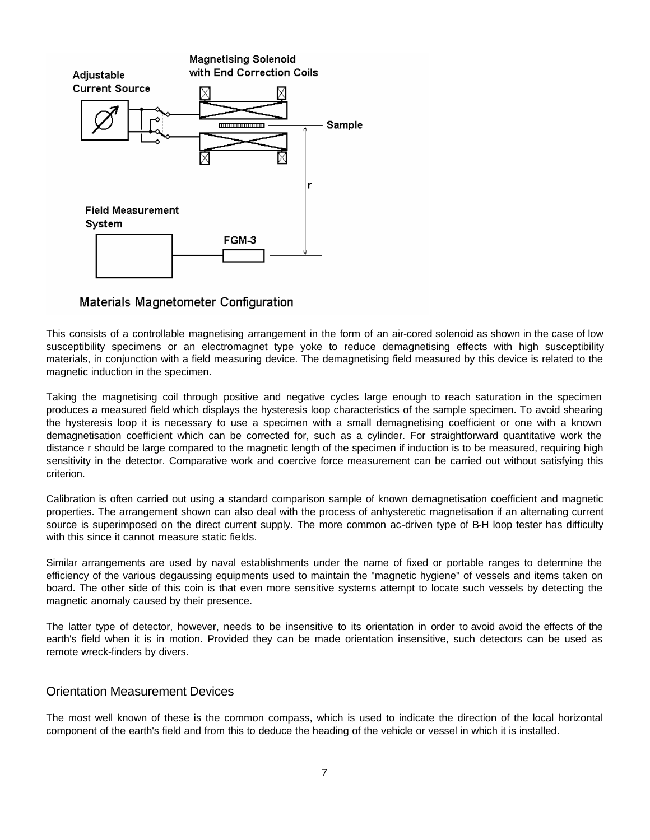

Materials Magnetometer Configuration

This consists of a controllable magnetising arrangement in the form of an air-cored solenoid as shown in the case of low susceptibility specimens or an electromagnet type yoke to reduce demagnetising effects with high susceptibility materials, in conjunction with a field measuring device. The demagnetising field measured by this device is related to the magnetic induction in the specimen.

Taking the magnetising coil through positive and negative cycles large enough to reach saturation in the specimen produces a measured field which displays the hysteresis loop characteristics of the sample specimen. To avoid shearing the hysteresis loop it is necessary to use a specimen with a small demagnetising coefficient or one with a known demagnetisation coefficient which can be corrected for, such as a cylinder. For straightforward quantitative work the distance r should be large compared to the magnetic length of the specimen if induction is to be measured, requiring high sensitivity in the detector. Comparative work and coercive force measurement can be carried out without satisfying this criterion.

Calibration is often carried out using a standard comparison sample of known demagnetisation coefficient and magnetic properties. The arrangement shown can also deal with the process of anhysteretic magnetisation if an alternating current source is superimposed on the direct current supply. The more common ac-driven type of B-H loop tester has difficulty with this since it cannot measure static fields.

Similar arrangements are used by naval establishments under the name of fixed or portable ranges to determine the efficiency of the various degaussing equipments used to maintain the "magnetic hygiene" of vessels and items taken on board. The other side of this coin is that even more sensitive systems attempt to locate such vessels by detecting the magnetic anomaly caused by their presence.

The latter type of detector, however, needs to be insensitive to its orientation in order to avoid avoid the effects of the earth's field when it is in motion. Provided they can be made orientation insensitive, such detectors can be used as remote wreck-finders by divers.

## Orientation Measurement Devices

The most well known of these is the common compass, which is used to indicate the direction of the local horizontal component of the earth's field and from this to deduce the heading of the vehicle or vessel in which it is installed.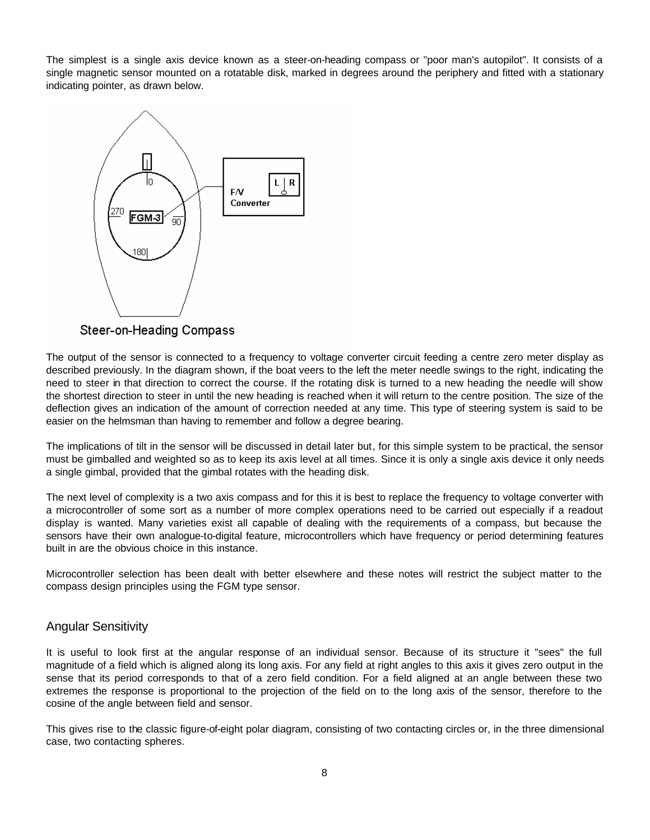The simplest is a single axis device known as a steer-on-heading compass or "poor man's autopilot". It consists of a single magnetic sensor mounted on a rotatable disk, marked in degrees around the periphery and fitted with a stationary indicating pointer, as drawn below.



Steer-on-Heading Compass

The output of the sensor is connected to a frequency to voltage converter circuit feeding a centre zero meter display as described previously. In the diagram shown, if the boat veers to the left the meter needle swings to the right, indicating the need to steer in that direction to correct the course. If the rotating disk is turned to a new heading the needle will show the shortest direction to steer in until the new heading is reached when it will return to the centre position. The size of the deflection gives an indication of the amount of correction needed at any time. This type of steering system is said to be easier on the helmsman than having to remember and follow a degree bearing.

The implications of tilt in the sensor will be discussed in detail later but, for this simple system to be practical, the sensor must be gimballed and weighted so as to keep its axis level at all times. Since it is only a single axis device it only needs a single gimbal, provided that the gimbal rotates with the heading disk.

The next level of complexity is a two axis compass and for this it is best to replace the frequency to voltage converter with a microcontroller of some sort as a number of more complex operations need to be carried out especially if a readout display is wanted. Many varieties exist all capable of dealing with the requirements of a compass, but because the sensors have their own analogue-to-digital feature, microcontrollers which have frequency or period determining features built in are the obvious choice in this instance.

Microcontroller selection has been dealt with better elsewhere and these notes will restrict the subject matter to the compass design principles using the FGM type sensor.

## Angular Sensitivity

It is useful to look first at the angular response of an individual sensor. Because of its structure it "sees" the full magnitude of a field which is aligned along its long axis. For any field at right angles to this axis it gives zero output in the sense that its period corresponds to that of a zero field condition. For a field aligned at an angle between these two extremes the response is proportional to the projection of the field on to the long axis of the sensor, therefore to the cosine of the angle between field and sensor.

This gives rise to the classic figure-of-eight polar diagram, consisting of two contacting circles or, in the three dimensional case, two contacting spheres.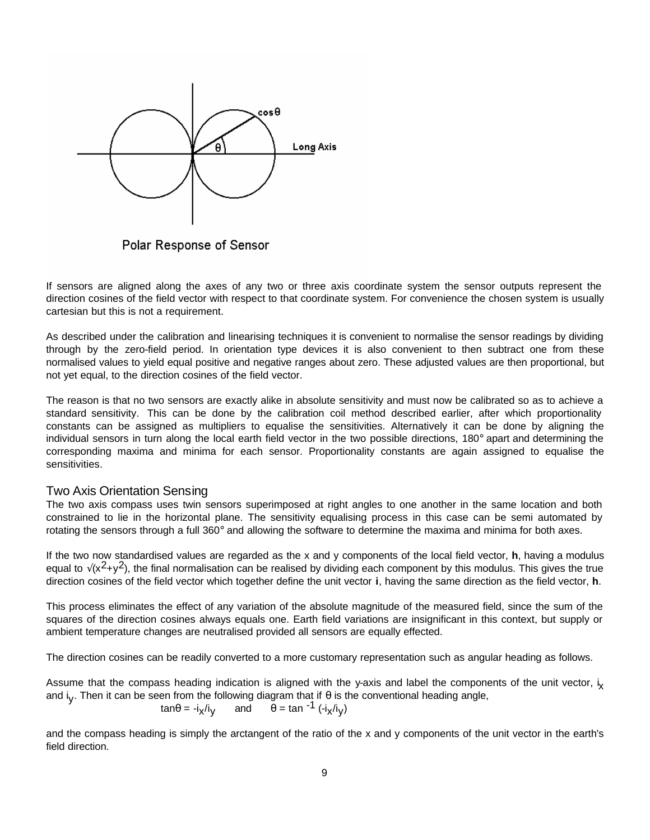

Polar Response of Sensor

If sensors are aligned along the axes of any two or three axis coordinate system the sensor outputs represent the direction cosines of the field vector with respect to that coordinate system. For convenience the chosen system is usually cartesian but this is not a requirement.

As described under the calibration and linearising techniques it is convenient to normalise the sensor readings by dividing through by the zero-field period. In orientation type devices it is also convenient to then subtract one from these normalised values to yield equal positive and negative ranges about zero. These adjusted values are then proportional, but not yet equal, to the direction cosines of the field vector.

The reason is that no two sensors are exactly alike in absolute sensitivity and must now be calibrated so as to achieve a standard sensitivity. This can be done by the calibration coil method described earlier, after which proportionality constants can be assigned as multipliers to equalise the sensitivities. Alternatively it can be done by aligning the individual sensors in turn along the local earth field vector in the two possible directions, 180° apart and determining the corresponding maxima and minima for each sensor. Proportionality constants are again assigned to equalise the sensitivities.

#### Two Axis Orientation Sensing

The two axis compass uses twin sensors superimposed at right angles to one another in the same location and both constrained to lie in the horizontal plane. The sensitivity equalising process in this case can be semi automated by rotating the sensors through a full 360° and allowing the software to determine the maxima and minima for both axes.

If the two now standardised values are regarded as the x and y components of the local field vector, **h**, having a modulus equal to  $\sqrt{(x^2+y^2)}$ , the final normalisation can be realised by dividing each component by this modulus. This gives the true direction cosines of the field vector which together define the unit vector **i**, having the same direction as the field vector, **h**.

This process eliminates the effect of any variation of the absolute magnitude of the measured field, since the sum of the squares of the direction cosines always equals one. Earth field variations are insignificant in this context, but supply or ambient temperature changes are neutralised provided all sensors are equally effected.

The direction cosines can be readily converted to a more customary representation such as angular heading as follows.

Assume that the compass heading indication is aligned with the y-axis and label the components of the unit vector,  $i_x$ and i<sub>y</sub>. Then it can be seen from the following diagram that if  $\theta$  is the conventional heading angle,

$$
\tan \theta = -i_x/i_y
$$
 and  $\theta = \tan^{-1}(-i_x/i_y)$ 

and the compass heading is simply the arctangent of the ratio of the x and y components of the unit vector in the earth's field direction.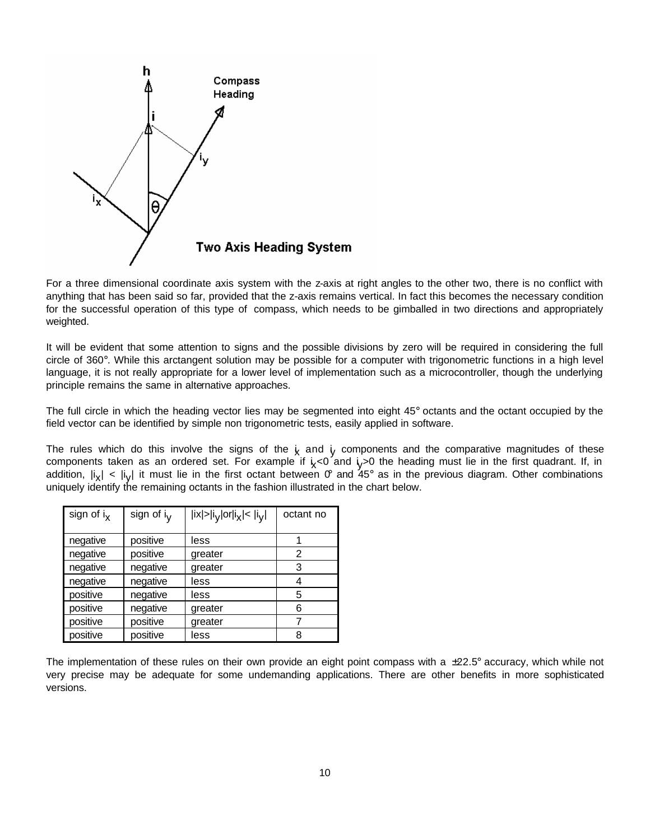

For a three dimensional coordinate axis system with the z-axis at right angles to the other two, there is no conflict with anything that has been said so far, provided that the z-axis remains vertical. In fact this becomes the necessary condition for the successful operation of this type of compass, which needs to be gimballed in two directions and appropriately weighted.

It will be evident that some attention to signs and the possible divisions by zero will be required in considering the full circle of 360°. While this arctangent solution may be possible for a computer with trigonometric functions in a high level language, it is not really appropriate for a lower level of implementation such as a microcontroller, though the underlying principle remains the same in alternative approaches.

The full circle in which the heading vector lies may be segmented into eight 45° octants and the octant occupied by the field vector can be identified by simple non trigonometric tests, easily applied in software.

The rules which do this involve the signs of the  $\frac{1}{\chi}$  and  $\frac{1}{\chi}$  components and the comparative magnitudes of these components taken as an ordered set. For example if  $i_X<$ 0 and  $i_Y>$ 0 the heading must lie in the first quadrant. If, in addition,  $|i_X|$  <  $|i_Y|$  it must lie in the first octant between  $0^\circ$  and 45° as in the previous diagram. Other combinations uniquely identify the remaining octants in the fashion illustrated in the chart below.

| sign of $i_{x}$ | sign of i <sub>v</sub> | $ i x  >  iV $ or $ iX  <  iV $ | octant no |
|-----------------|------------------------|---------------------------------|-----------|
|                 |                        |                                 |           |
| negative        | positive               | less                            |           |
| negative        | positive               | greater                         | 2         |
| negative        | negative               | greater                         | 3         |
| negative        | negative               | less                            | 4         |
| positive        | negative               | less                            | 5         |
| positive        | negative               | greater                         | 6         |
| positive        | positive               | greater                         |           |
| positive        | positive               | less                            | 8         |

The implementation of these rules on their own provide an eight point compass with a  $\pm 22.5^\circ$  accuracy, which while not very precise may be adequate for some undemanding applications. There are other benefits in more sophisticated versions.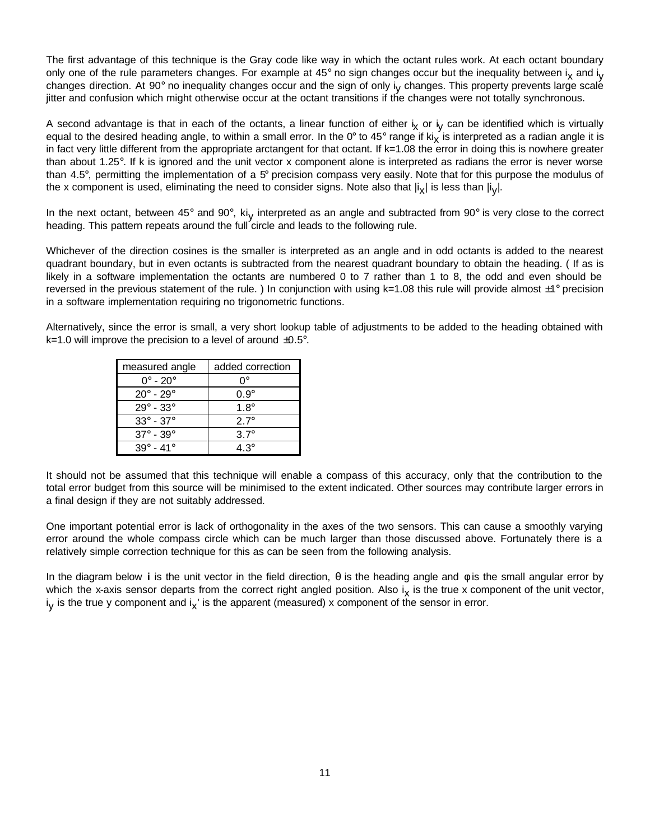The first advantage of this technique is the Gray code like way in which the octant rules work. At each octant boundary only one of the rule parameters changes. For example at 45° no sign changes occur but the inequality between i<sub>x</sub> and i<sub>y</sub> changes direction. At 90° no inequality changes occur and the sign of only i<sub>y</sub> changes. This property prevents large scalé jitter and confusion which might otherwise occur at the octant transitions if the changes were not totally synchronous.

A second advantage is that in each of the octants, a linear function of either i<sub>x</sub> or i<sub>y</sub> can be identified which is virtually equal to the desired heading angle, to within a small error. In the 0° to 45° range if ki<sub>x</sub> is interpreted as a radian angle it is in fact very little different from the appropriate arctangent for that octant. If k=1.08 the error in doing this is nowhere greater than about 1.25°. If k is ignored and the unit vector x component alone is interpreted as radians the error is never worse than 4.5°, permitting the implementation of a 5° precision compass very easily. Note that for this purpose the modulus of the x component is used, eliminating the need to consider signs. Note also that  $|\mathsf{i}_\mathsf{X}|$  is less than  $|\mathsf{i}_\mathsf{Y}|$ .

In the next octant, between 45° and 90°, ki<sub>y</sub> interpreted as an angle and subtracted from 90° is very close to the correct heading. This pattern repeats around the full circle and leads to the following rule.

Whichever of the direction cosines is the smaller is interpreted as an angle and in odd octants is added to the nearest quadrant boundary, but in even octants is subtracted from the nearest quadrant boundary to obtain the heading. ( If as is likely in a software implementation the octants are numbered 0 to 7 rather than 1 to 8, the odd and even should be reversed in the previous statement of the rule. ) In conjunction with using  $k=1.08$  this rule will provide almost  $\pm 1^{\circ}$  precision in a software implementation requiring no trigonometric functions.

Alternatively, since the error is small, a very short lookup table of adjustments to be added to the heading obtained with  $k=1.0$  will improve the precision to a level of around  $\pm 0.5^{\circ}$ .

| measured angle                | added correction |
|-------------------------------|------------------|
| $0^\circ$ - 20 $^\circ$       | ∩°               |
| $20^\circ$ - $29^\circ$       | $0.9^\circ$      |
| $29^{\circ}$ - $33^{\circ}$   | $1.8^\circ$      |
| $33^{\circ} - 37^{\circ}$     | $27^\circ$       |
| $37^\circ$ - $39^\circ$       | $3.7^\circ$      |
| $39^\circ$<br>- 41 $^{\circ}$ | 4 3°             |

It should not be assumed that this technique will enable a compass of this accuracy, only that the contribution to the total error budget from this source will be minimised to the extent indicated. Other sources may contribute larger errors in a final design if they are not suitably addressed.

One important potential error is lack of orthogonality in the axes of the two sensors. This can cause a smoothly varying error around the whole compass circle which can be much larger than those discussed above. Fortunately there is a relatively simple correction technique for this as can be seen from the following analysis.

In the diagram below **i** is the unit vector in the field direction, θ is the heading angle and φ is the small angular error by which the x-axis sensor departs from the correct right angled position. Also i<sub>x</sub> is the true x component of the unit vector, i<sub>y</sub> is the true y component and i<sub>x</sub>' is the apparent (measured) x component of the sensor in error.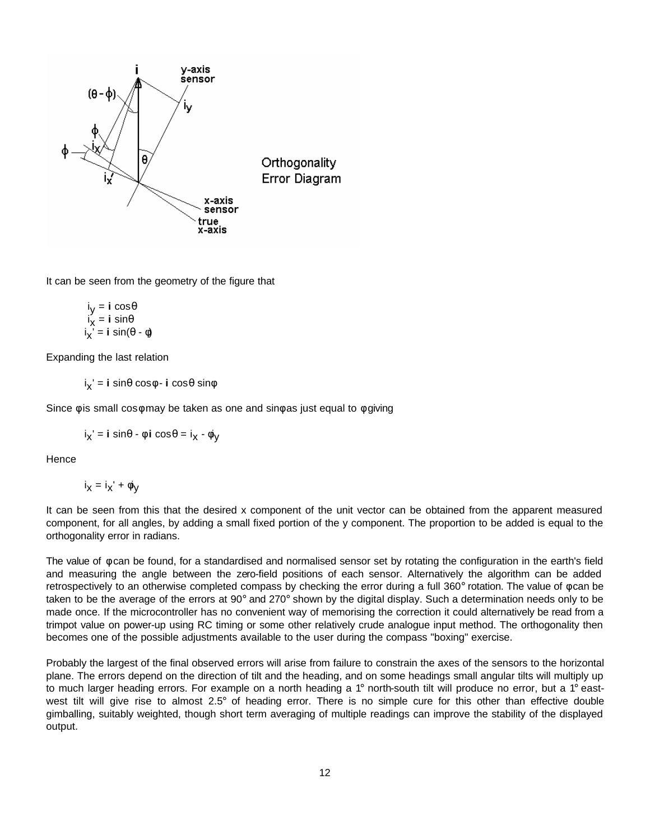

It can be seen from the geometry of the figure that

$$
iX = i cos θ\n iX = i sin θ\n iX' = i sin(θ - φ)
$$

Expanding the last relation

ix ' = **i** sinθ cosφ - **i** cosθ sinφ

Since  $\phi$  is small cos $\phi$  may be taken as one and sin $\phi$  as just equal to  $\phi$  giving

$$
i_X' = i \sin\theta - \phi i \cos\theta = i_X - \phi y
$$

**Hence** 

$$
i_{x} = i_{x}^{\prime} + \phi i_{y}
$$

It can be seen from this that the desired x component of the unit vector can be obtained from the apparent measured component, for all angles, by adding a small fixed portion of the y component. The proportion to be added is equal to the orthogonality error in radians.

The value of φ can be found, for a standardised and normalised sensor set by rotating the configuration in the earth's field and measuring the angle between the zero-field positions of each sensor. Alternatively the algorithm can be added retrospectively to an otherwise completed compass by checking the error during a full 360° rotation. The value of φ can be taken to be the average of the errors at 90° and 270° shown by the digital display. Such a determination needs only to be made once. If the microcontroller has no convenient way of memorising the correction it could alternatively be read from a trimpot value on power-up using RC timing or some other relatively crude analogue input method. The orthogonality then becomes one of the possible adjustments available to the user during the compass "boxing" exercise.

Probably the largest of the final observed errors will arise from failure to constrain the axes of the sensors to the horizontal plane. The errors depend on the direction of tilt and the heading, and on some headings small angular tilts will multiply up to much larger heading errors. For example on a north heading a 1° north-south tilt will produce no error, but a 1° eastwest tilt will give rise to almost 2.5° of heading error. There is no simple cure for this other than effective double gimballing, suitably weighted, though short term averaging of multiple readings can improve the stability of the displayed output.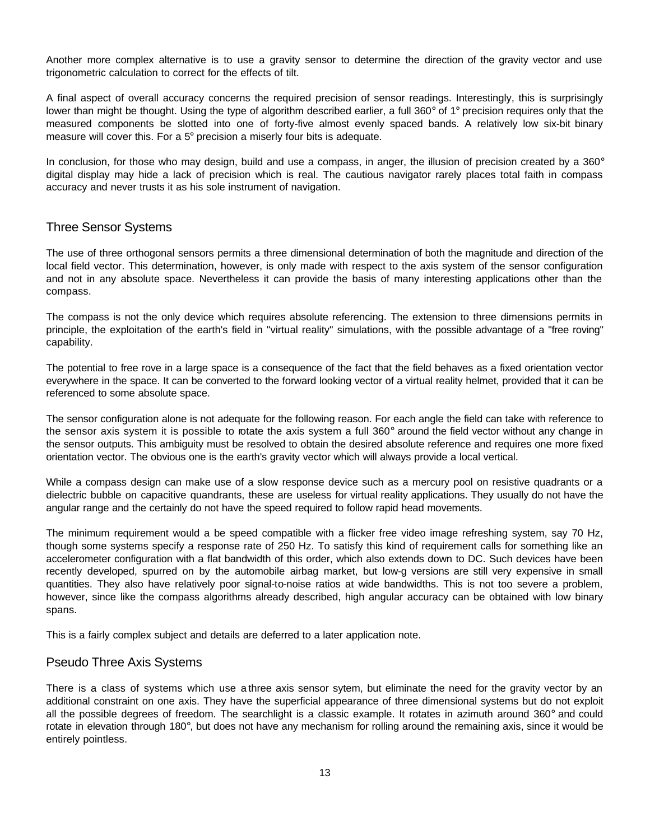Another more complex alternative is to use a gravity sensor to determine the direction of the gravity vector and use trigonometric calculation to correct for the effects of tilt.

A final aspect of overall accuracy concerns the required precision of sensor readings. Interestingly, this is surprisingly lower than might be thought. Using the type of algorithm described earlier, a full 360° of 1° precision requires only that the measured components be slotted into one of forty-five almost evenly spaced bands. A relatively low six-bit binary measure will cover this. For a 5° precision a miserly four bits is adequate.

In conclusion, for those who may design, build and use a compass, in anger, the illusion of precision created by a 360° digital display may hide a lack of precision which is real. The cautious navigator rarely places total faith in compass accuracy and never trusts it as his sole instrument of navigation.

## Three Sensor Systems

The use of three orthogonal sensors permits a three dimensional determination of both the magnitude and direction of the local field vector. This determination, however, is only made with respect to the axis system of the sensor configuration and not in any absolute space. Nevertheless it can provide the basis of many interesting applications other than the compass.

The compass is not the only device which requires absolute referencing. The extension to three dimensions permits in principle, the exploitation of the earth's field in "virtual reality" simulations, with the possible advantage of a "free roving" capability.

The potential to free rove in a large space is a consequence of the fact that the field behaves as a fixed orientation vector everywhere in the space. It can be converted to the forward looking vector of a virtual reality helmet, provided that it can be referenced to some absolute space.

The sensor configuration alone is not adequate for the following reason. For each angle the field can take with reference to the sensor axis system it is possible to rotate the axis system a full 360° around the field vector without any change in the sensor outputs. This ambiguity must be resolved to obtain the desired absolute reference and requires one more fixed orientation vector. The obvious one is the earth's gravity vector which will always provide a local vertical.

While a compass design can make use of a slow response device such as a mercury pool on resistive quadrants or a dielectric bubble on capacitive quandrants, these are useless for virtual reality applications. They usually do not have the angular range and the certainly do not have the speed required to follow rapid head movements.

The minimum requirement would a be speed compatible with a flicker free video image refreshing system, say 70 Hz, though some systems specify a response rate of 250 Hz. To satisfy this kind of requirement calls for something like an accelerometer configuration with a flat bandwidth of this order, which also extends down to DC. Such devices have been recently developed, spurred on by the automobile airbag market, but low-g versions are still very expensive in small quantities. They also have relatively poor signal-to-noise ratios at wide bandwidths. This is not too severe a problem, however, since like the compass algorithms already described, high angular accuracy can be obtained with low binary spans.

This is a fairly complex subject and details are deferred to a later application note.

## Pseudo Three Axis Systems

There is a class of systems which use a three axis sensor sytem, but eliminate the need for the gravity vector by an additional constraint on one axis. They have the superficial appearance of three dimensional systems but do not exploit all the possible degrees of freedom. The searchlight is a classic example. It rotates in azimuth around 360° and could rotate in elevation through 180°, but does not have any mechanism for rolling around the remaining axis, since it would be entirely pointless.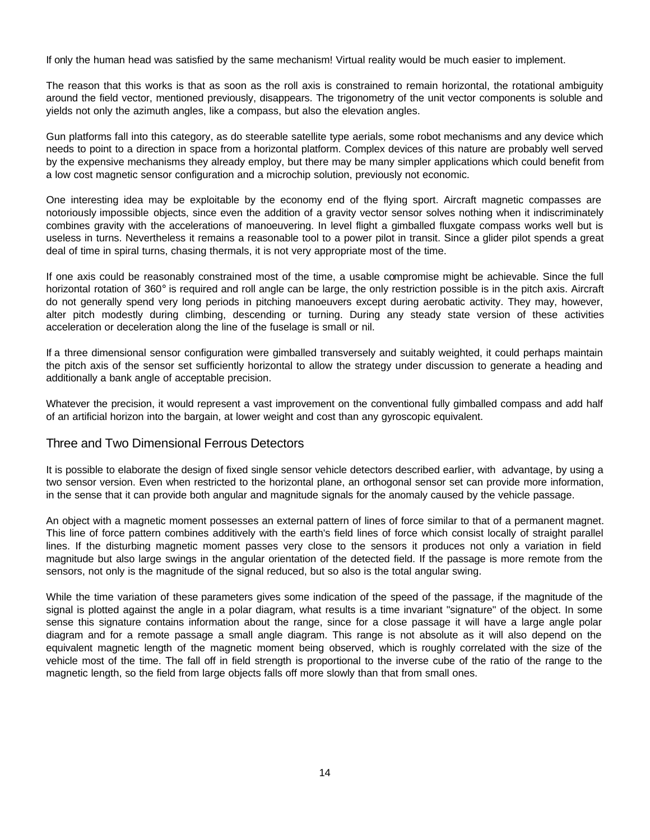If only the human head was satisfied by the same mechanism! Virtual reality would be much easier to implement.

The reason that this works is that as soon as the roll axis is constrained to remain horizontal, the rotational ambiguity around the field vector, mentioned previously, disappears. The trigonometry of the unit vector components is soluble and yields not only the azimuth angles, like a compass, but also the elevation angles.

Gun platforms fall into this category, as do steerable satellite type aerials, some robot mechanisms and any device which needs to point to a direction in space from a horizontal platform. Complex devices of this nature are probably well served by the expensive mechanisms they already employ, but there may be many simpler applications which could benefit from a low cost magnetic sensor configuration and a microchip solution, previously not economic.

One interesting idea may be exploitable by the economy end of the flying sport. Aircraft magnetic compasses are notoriously impossible objects, since even the addition of a gravity vector sensor solves nothing when it indiscriminately combines gravity with the accelerations of manoeuvering. In level flight a gimballed fluxgate compass works well but is useless in turns. Nevertheless it remains a reasonable tool to a power pilot in transit. Since a glider pilot spends a great deal of time in spiral turns, chasing thermals, it is not very appropriate most of the time.

If one axis could be reasonably constrained most of the time, a usable compromise might be achievable. Since the full horizontal rotation of 360° is required and roll angle can be large, the only restriction possible is in the pitch axis. Aircraft do not generally spend very long periods in pitching manoeuvers except during aerobatic activity. They may, however, alter pitch modestly during climbing, descending or turning. During any steady state version of these activities acceleration or deceleration along the line of the fuselage is small or nil.

If a three dimensional sensor configuration were gimballed transversely and suitably weighted, it could perhaps maintain the pitch axis of the sensor set sufficiently horizontal to allow the strategy under discussion to generate a heading and additionally a bank angle of acceptable precision.

Whatever the precision, it would represent a vast improvement on the conventional fully gimballed compass and add half of an artificial horizon into the bargain, at lower weight and cost than any gyroscopic equivalent.

## Three and Two Dimensional Ferrous Detectors

It is possible to elaborate the design of fixed single sensor vehicle detectors described earlier, with advantage, by using a two sensor version. Even when restricted to the horizontal plane, an orthogonal sensor set can provide more information, in the sense that it can provide both angular and magnitude signals for the anomaly caused by the vehicle passage.

An object with a magnetic moment possesses an external pattern of lines of force similar to that of a permanent magnet. This line of force pattern combines additively with the earth's field lines of force which consist locally of straight parallel lines. If the disturbing magnetic moment passes very close to the sensors it produces not only a variation in field magnitude but also large swings in the angular orientation of the detected field. If the passage is more remote from the sensors, not only is the magnitude of the signal reduced, but so also is the total angular swing.

While the time variation of these parameters gives some indication of the speed of the passage, if the magnitude of the signal is plotted against the angle in a polar diagram, what results is a time invariant "signature" of the object. In some sense this signature contains information about the range, since for a close passage it will have a large angle polar diagram and for a remote passage a small angle diagram. This range is not absolute as it will also depend on the equivalent magnetic length of the magnetic moment being observed, which is roughly correlated with the size of the vehicle most of the time. The fall off in field strength is proportional to the inverse cube of the ratio of the range to the magnetic length, so the field from large objects falls off more slowly than that from small ones.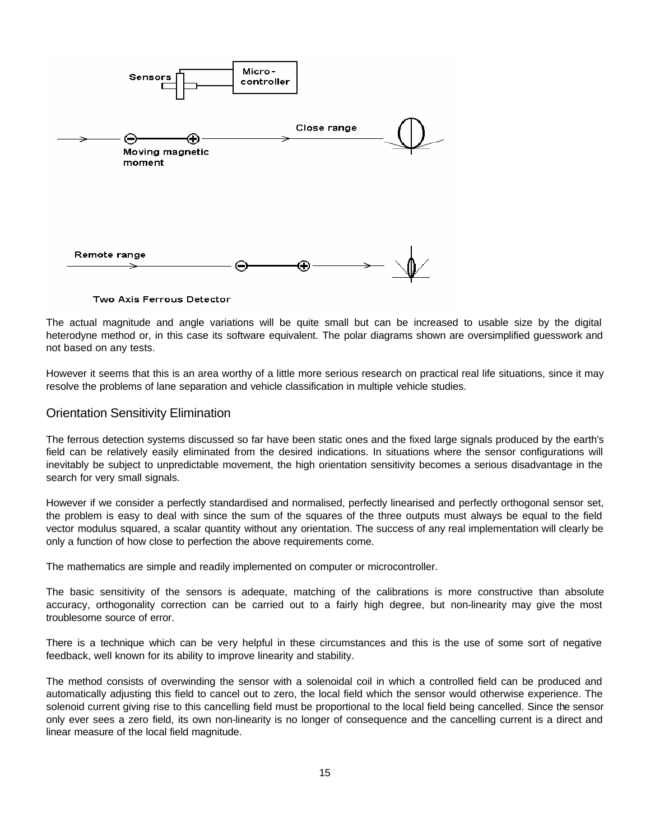

Two Axis Ferrous Detector

The actual magnitude and angle variations will be quite small but can be increased to usable size by the digital heterodyne method or, in this case its software equivalent. The polar diagrams shown are oversimplified guesswork and not based on any tests.

However it seems that this is an area worthy of a little more serious research on practical real life situations, since it may resolve the problems of lane separation and vehicle classification in multiple vehicle studies.

#### Orientation Sensitivity Elimination

The ferrous detection systems discussed so far have been static ones and the fixed large signals produced by the earth's field can be relatively easily eliminated from the desired indications. In situations where the sensor configurations will inevitably be subject to unpredictable movement, the high orientation sensitivity becomes a serious disadvantage in the search for very small signals.

However if we consider a perfectly standardised and normalised, perfectly linearised and perfectly orthogonal sensor set, the problem is easy to deal with since the sum of the squares of the three outputs must always be equal to the field vector modulus squared, a scalar quantity without any orientation. The success of any real implementation will clearly be only a function of how close to perfection the above requirements come.

The mathematics are simple and readily implemented on computer or microcontroller.

The basic sensitivity of the sensors is adequate, matching of the calibrations is more constructive than absolute accuracy, orthogonality correction can be carried out to a fairly high degree, but non-linearity may give the most troublesome source of error.

There is a technique which can be very helpful in these circumstances and this is the use of some sort of negative feedback, well known for its ability to improve linearity and stability.

The method consists of overwinding the sensor with a solenoidal coil in which a controlled field can be produced and automatically adjusting this field to cancel out to zero, the local field which the sensor would otherwise experience. The solenoid current giving rise to this cancelling field must be proportional to the local field being cancelled. Since the sensor only ever sees a zero field, its own non-linearity is no longer of consequence and the cancelling current is a direct and linear measure of the local field magnitude.